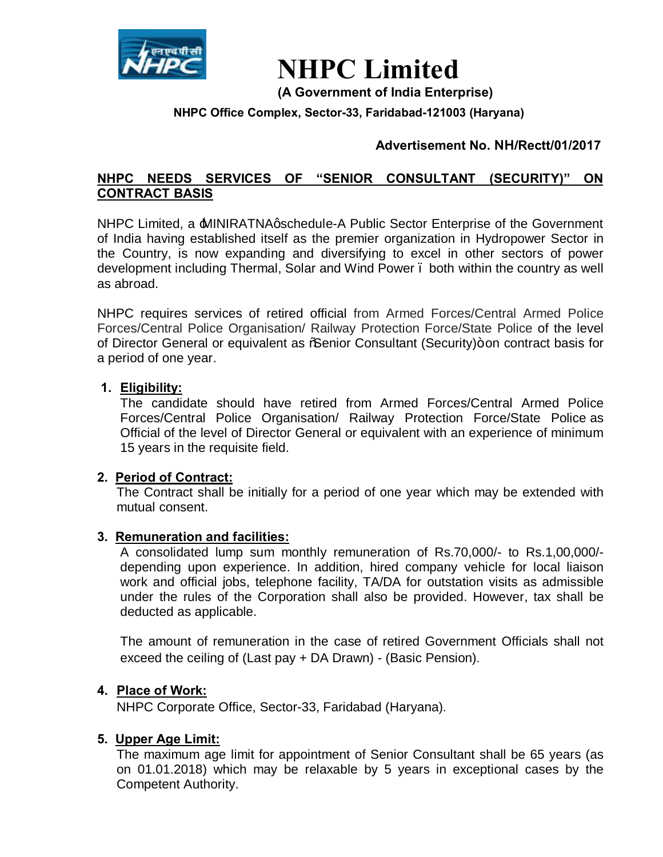

# **NHPC Limited**

**(A Government of India Enterprise)**

## **NHPC Office Complex, Sector-33, Faridabad-121003 (Haryana)**

# **Advertisement No. NH/Rectt/01/2017**

# **NHPC NEEDS SERVICES OF "SENIOR CONSULTANT (SECURITY)" ON CONTRACT BASIS**

NHPC Limited, a MINIRATNAgschedule-A Public Sector Enterprise of the Government of India having established itself as the premier organization in Hydropower Sector in the Country, is now expanding and diversifying to excel in other sectors of power development including Thermal, Solar and Wind Power – both within the country as well as abroad.

NHPC requires services of retired official from Armed Forces/Central Armed Police Forces/Central Police Organisation/ Railway Protection Force/State Police of the level of Director General or equivalent as % Senior Consultant (Security)+ on contract basis for a period of one year.

## **1. Eligibility:**

The candidate should have retired from Armed Forces/Central Armed Police Forces/Central Police Organisation/ Railway Protection Force/State Police as Official of the level of Director General or equivalent with an experience of minimum 15 years in the requisite field.

## **2. Period of Contract:**

The Contract shall be initially for a period of one year which may be extended with mutual consent.

#### **3. Remuneration and facilities:**

A consolidated lump sum monthly remuneration of Rs.70,000/- to Rs.1,00,000/ depending upon experience. In addition, hired company vehicle for local liaison work and official jobs, telephone facility, TA/DA for outstation visits as admissible under the rules of the Corporation shall also be provided. However, tax shall be deducted as applicable.

The amount of remuneration in the case of retired Government Officials shall not exceed the ceiling of (Last pay + DA Drawn) - (Basic Pension).

#### **4. Place of Work:**

NHPC Corporate Office, Sector-33, Faridabad (Haryana).

#### **5. Upper Age Limit:**

The maximum age limit for appointment of Senior Consultant shall be 65 years (as on 01.01.2018) which may be relaxable by 5 years in exceptional cases by the Competent Authority.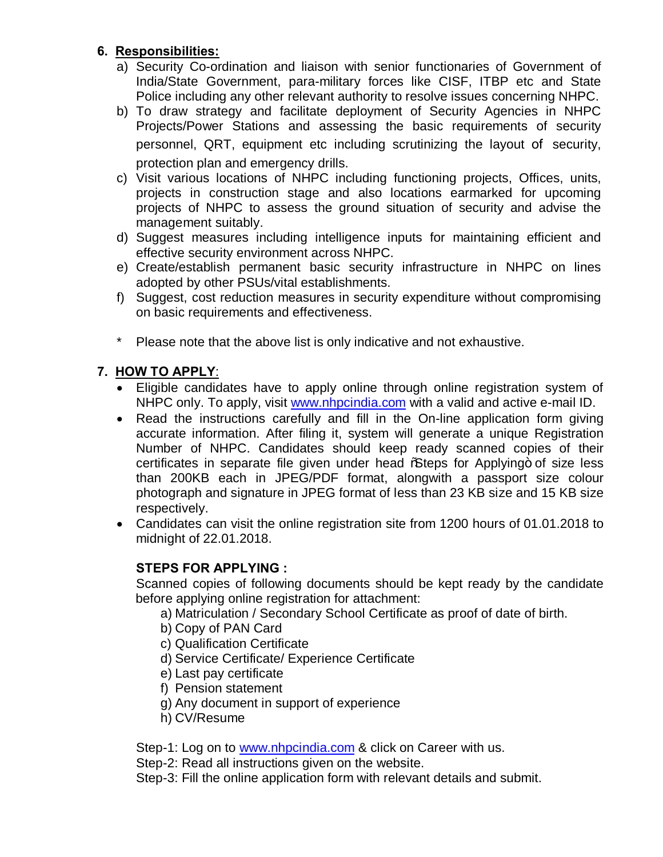# **6. Responsibilities:**

- a) Security Co-ordination and liaison with senior functionaries of Government of India/State Government, para-military forces like CISF, ITBP etc and State Police including any other relevant authority to resolve issues concerning NHPC.
- b) To draw strategy and facilitate deployment of Security Agencies in NHPC Projects/Power Stations and assessing the basic requirements of security personnel, QRT, equipment etc including scrutinizing the layout of security, protection plan and emergency drills.
- c) Visit various locations of NHPC including functioning projects, Offices, units, projects in construction stage and also locations earmarked for upcoming projects of NHPC to assess the ground situation of security and advise the management suitably.
- d) Suggest measures including intelligence inputs for maintaining efficient and effective security environment across NHPC.
- e) Create/establish permanent basic security infrastructure in NHPC on lines adopted by other PSUs/vital establishments.
- f) Suggest, cost reduction measures in security expenditure without compromising on basic requirements and effectiveness.
- \* Please note that the above list is only indicative and not exhaustive.

# **7. HOW TO APPLY**:

- · Eligible candidates have to apply online through online registration system of NHPC only. To apply, visit [www.nhpcindia.com](http://www.nhpcindia.com/) with a valid and active e-mail ID.
- · Read the instructions carefully and fill in the On-line application form giving accurate information. After filing it, system will generate a unique Registration Number of NHPC. Candidates should keep ready scanned copies of their certificates in separate file given under head % teps for Applying+ of size less than 200KB each in JPEG/PDF format, alongwith a passport size colour photograph and signature in JPEG format of less than 23 KB size and 15 KB size respectively.
- · Candidates can visit the online registration site from 1200 hours of 01.01.2018 to midnight of 22.01.2018.

# **STEPS FOR APPLYING :**

Scanned copies of following documents should be kept ready by the candidate before applying online registration for attachment:

- a) Matriculation / Secondary School Certificate as proof of date of birth.
- b) Copy of PAN Card
- c) Qualification Certificate
- d) Service Certificate/ Experience Certificate
- e) Last pay certificate
- f) Pension statement
- g) Any document in support of experience
- h) CV/Resume

Step-1: Log on to [www.nhpcindia.com](http://www.nhpcindia.com/) & click on Career with us.

Step-2: Read all instructions given on the website.

Step-3: Fill the online application form with relevant details and submit.